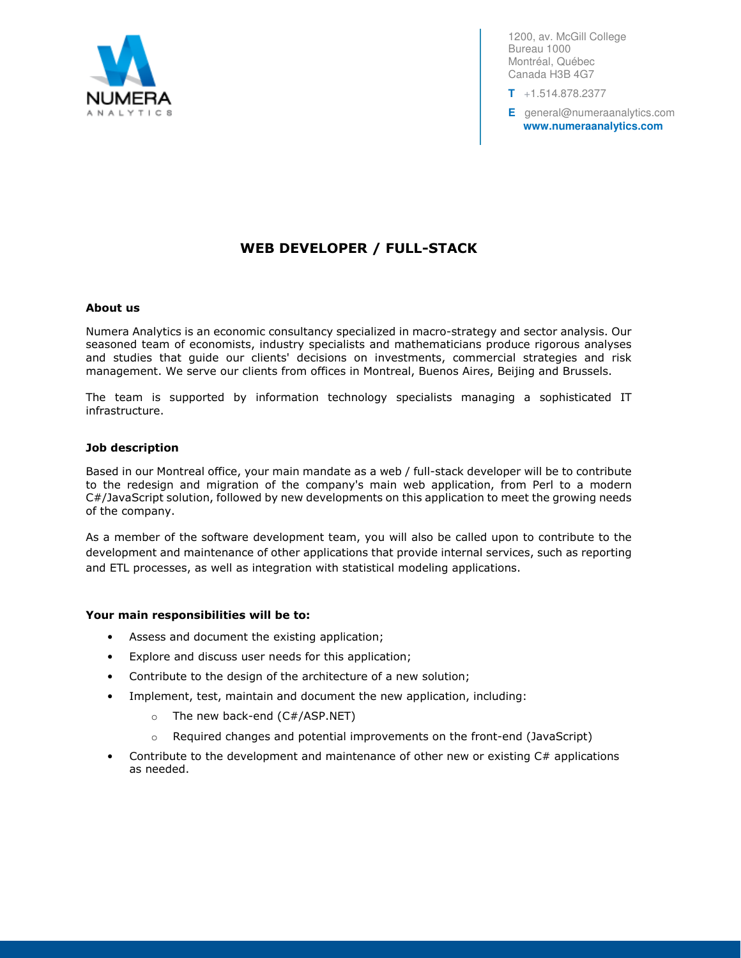

1200, av. McGill College Bureau 1000 Montréal, Québec Canada H3B 4G7

**T** +1.514.878.2377

**E** general@numeraanalytics.com **www.numeraanalytics.com** 

# WEB DEVELOPER / FULL-STACK

### About us

Numera Analytics is an economic consultancy specialized in macro-strategy and sector analysis. Our seasoned team of economists, industry specialists and mathematicians produce rigorous analyses and studies that guide our clients' decisions on investments, commercial strategies and risk management. We serve our clients from offices in Montreal, Buenos Aires, Beijing and Brussels.

The team is supported by information technology specialists managing a sophisticated IT infrastructure.

### Job description

Based in our Montreal office, your main mandate as a web / full-stack developer will be to contribute to the redesign and migration of the company's main web application, from Perl to a modern C#/JavaScript solution, followed by new developments on this application to meet the growing needs of the company.

As a member of the software development team, you will also be called upon to contribute to the development and maintenance of other applications that provide internal services, such as reporting and ETL processes, as well as integration with statistical modeling applications.

#### Your main responsibilities will be to:

- Assess and document the existing application;
- Explore and discuss user needs for this application;
- Contribute to the design of the architecture of a new solution;
- Implement, test, maintain and document the new application, including:
	- $\circ$  The new back-end (C#/ASP.NET)
	- $\circ$  Required changes and potential improvements on the front-end (JavaScript)
- Contribute to the development and maintenance of other new or existing  $C#$  applications as needed.